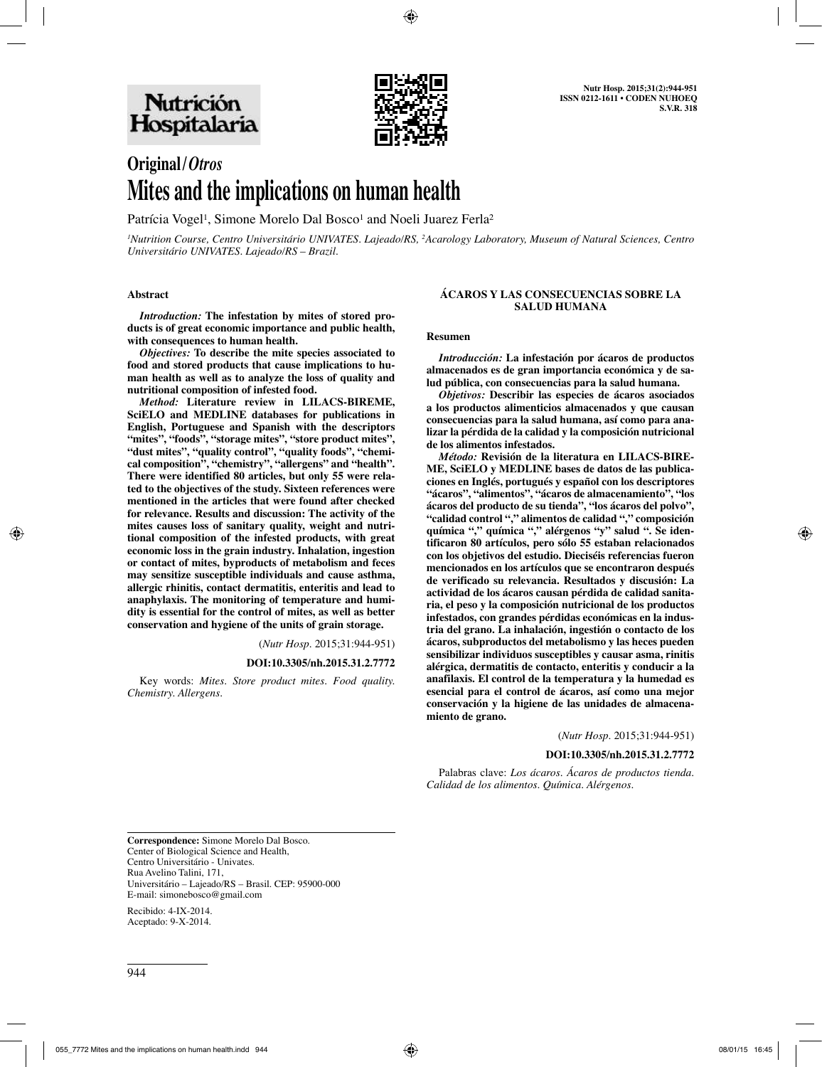

# **Original/***Otros* **Mites and the implications on human health**

Patrícia Vogel<sup>1</sup>, Simone Morelo Dal Bosco<sup>1</sup> and Noeli Juarez Ferla<sup>2</sup>

*1 Nutrition Course, Centro Universitário UNIVATES. Lajeado/RS, 2 Acarology Laboratory, Museum of Natural Sciences, Centro Universitário UNIVATES. Lajeado/RS – Brazil.*

#### **Abstract**

*Introduction:* **The infestation by mites of stored products is of great economic importance and public health, with consequences to human health.** 

*Objectives:* **To describe the mite species associated to food and stored products that cause implications to human health as well as to analyze the loss of quality and nutritional composition of infested food.** 

*Method:* **Literature review in LILACS-BIREME, SciELO and MEDLINE databases for publications in English, Portuguese and Spanish with the descriptors**  "mites", "foods", "storage mites", "store product mites", **"dust mites", "quality control", "quality foods", "chemical composition", "chemistry", "allergens" and "health". There were identified 80 articles, but only 55 were related to the objectives of the study. Sixteen references were mentioned in the articles that were found after checked for relevance. Results and discussion: The activity of the mites causes loss of sanitary quality, weight and nutritional composition of the infested products, with great economic loss in the grain industry. Inhalation, ingestion or contact of mites, byproducts of metabolism and feces may sensitize susceptible individuals and cause asthma, allergic rhinitis, contact dermatitis, enteritis and lead to anaphylaxis. The monitoring of temperature and humidity is essential for the control of mites, as well as better conservation and hygiene of the units of grain storage.**

(*Nutr Hosp.* 2015;31:944-951)

#### **DOI:10.3305/nh.2015.31.2.7772**

Key words: *Mites. Store product mites. Food quality. Chemistry. Allergens.*

#### **ÁCAROS Y LAS CONSECUENCIAS SOBRE LA SALUD HUMANA**

#### **Resumen**

*Introducción:* **La infestación por ácaros de productos almacenados es de gran importancia económica y de salud pública, con consecuencias para la salud humana.** 

*Objetivos:* **Describir las especies de ácaros asociados a los productos alimenticios almacenados y que causan consecuencias para la salud humana, así como para analizar la pérdida de la calidad y la composición nutricional de los alimentos infestados.** 

*Método:* **Revisión de la literatura en LILACS-BIRE-ME, SciELO y MEDLINE bases de datos de las publicaciones en Inglés, portugués y español con los descriptores "ácaros", "alimentos", "ácaros de almacenamiento", "los ácaros del producto de su tienda", "los ácaros del polvo", "calidad control "," alimentos de calidad "," composición química "," química "," alérgenos "y" salud ". Se identificaron 80 artículos, pero sólo 55 estaban relacionados con los objetivos del estudio. Dieciséis referencias fueron mencionados en los artículos que se encontraron después de verificado su relevancia. Resultados y discusión: La actividad de los ácaros causan pérdida de calidad sanitaria, el peso y la composición nutricional de los productos infestados, con grandes pérdidas económicas en la industria del grano. La inhalación, ingestión o contacto de los ácaros, subproductos del metabolismo y las heces pueden sensibilizar individuos susceptibles y causar asma, rinitis alérgica, dermatitis de contacto, enteritis y conducir a la anafilaxis. El control de la temperatura y la humedad es esencial para el control de ácaros, así como una mejor conservación y la higiene de las unidades de almacenamiento de grano.**

(*Nutr Hosp.* 2015;31:944-951)

#### **DOI:10.3305/nh.2015.31.2.7772**

Palabras clave: *Los ácaros. Ácaros de productos tienda. Calidad de los alimentos. Química. Alérgenos.*

**Correspondence:** Simone Morelo Dal Bosco. Center of Biological Science and Health, Centro Universitário - Univates. Rua Avelino Talini, 171, Universitário – Lajeado/RS – Brasil. CEP: 95900-000 E-mail: simonebosco@gmail.com

Recibido: 4-IX-2014. Aceptado: 9-X-2014.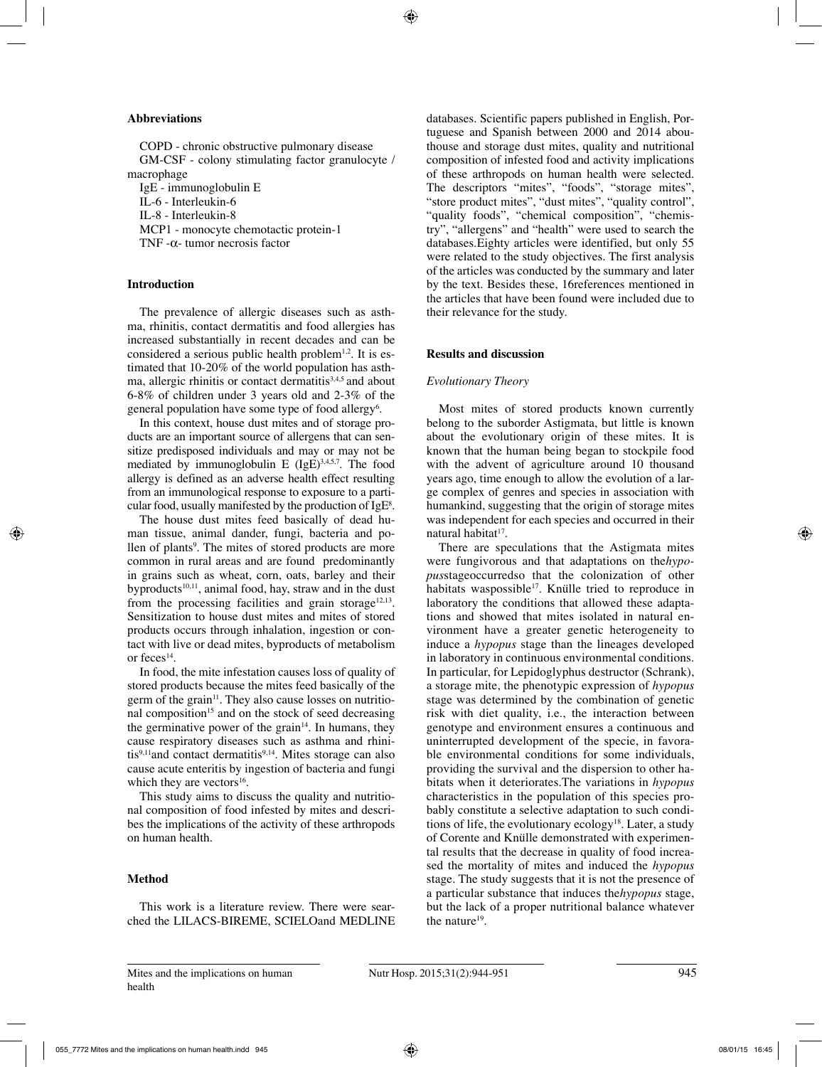#### **Abbreviations**

COPD - chronic obstructive pulmonary disease GM-CSF - colony stimulating factor granulocyte / macrophage IgE - immunoglobulin E

IL-6 - Interleukin-6

IL-8 - Interleukin-8

MCP1 - monocyte chemotactic protein-1

TNF -α- tumor necrosis factor

## **Introduction**

The prevalence of allergic diseases such as asthma, rhinitis, contact dermatitis and food allergies has increased substantially in recent decades and can be considered a serious public health problem<sup>1,2</sup>. It is estimated that 10-20% of the world population has asthma, allergic rhinitis or contact dermatitis<sup>3,4,5</sup> and about 6-8% of children under 3 years old and 2-3% of the general population have some type of food allergy<sup>6</sup>.

In this context, house dust mites and of storage products are an important source of allergens that can sensitize predisposed individuals and may or may not be mediated by immunoglobulin E  $(IgE)^{3,4,5,7}$ . The food allergy is defined as an adverse health effect resulting from an immunological response to exposure to a particular food, usually manifested by the production of  $IgE^8$ .

The house dust mites feed basically of dead human tissue, animal dander, fungi, bacteria and pollen of plants<sup>9</sup>. The mites of stored products are more common in rural areas and are found predominantly in grains such as wheat, corn, oats, barley and their byproducts $10,11$ , animal food, hay, straw and in the dust from the processing facilities and grain storage<sup>12,13</sup>. Sensitization to house dust mites and mites of stored products occurs through inhalation, ingestion or contact with live or dead mites, byproducts of metabolism or feces<sup>14</sup>.

In food, the mite infestation causes loss of quality of stored products because the mites feed basically of the germ of the grain<sup>11</sup>. They also cause losses on nutritional composition<sup>15</sup> and on the stock of seed decreasing the germinative power of the grain $14$ . In humans, they cause respiratory diseases such as asthma and rhinitis $9,11$ and contact dermatitis $9,14$ . Mites storage can also cause acute enteritis by ingestion of bacteria and fungi which they are vectors<sup>16</sup>.

This study aims to discuss the quality and nutritional composition of food infested by mites and describes the implications of the activity of these arthropods on human health.

# **Method**

This work is a literature review. There were searched the LILACS-BIREME, SCIELOand MEDLINE databases. Scientific papers published in English, Portuguese and Spanish between 2000 and 2014 abouthouse and storage dust mites, quality and nutritional composition of infested food and activity implications of these arthropods on human health were selected. The descriptors "mites", "foods", "storage mites", "store product mites", "dust mites", "quality control", "quality foods", "chemical composition", "chemistry", "allergens" and "health" were used to search the databases.Eighty articles were identified, but only 55 were related to the study objectives. The first analysis of the articles was conducted by the summary and later by the text. Besides these, 16references mentioned in the articles that have been found were included due to their relevance for the study.

# **Results and discussion**

### *Evolutionary Theory*

Most mites of stored products known currently belong to the suborder Astigmata, but little is known about the evolutionary origin of these mites. It is known that the human being began to stockpile food with the advent of agriculture around 10 thousand years ago, time enough to allow the evolution of a large complex of genres and species in association with humankind, suggesting that the origin of storage mites was independent for each species and occurred in their natural habitat<sup>17</sup>.

There are speculations that the Astigmata mites were fungivorous and that adaptations on the*hypopus*stageoccurredso that the colonization of other habitats waspossible<sup>17</sup>. Knülle tried to reproduce in laboratory the conditions that allowed these adaptations and showed that mites isolated in natural environment have a greater genetic heterogeneity to induce a *hypopus* stage than the lineages developed in laboratory in continuous environmental conditions. In particular, for Lepidoglyphus destructor (Schrank), a storage mite, the phenotypic expression of *hypopus*  stage was determined by the combination of genetic risk with diet quality, i.e., the interaction between genotype and environment ensures a continuous and uninterrupted development of the specie, in favorable environmental conditions for some individuals, providing the survival and the dispersion to other habitats when it deteriorates.The variations in *hypopus* characteristics in the population of this species probably constitute a selective adaptation to such conditions of life, the evolutionary ecology<sup>18</sup>. Later, a study of Corente and Knülle demonstrated with experimental results that the decrease in quality of food increased the mortality of mites and induced the *hypopus* stage. The study suggests that it is not the presence of a particular substance that induces the*hypopus* stage, but the lack of a proper nutritional balance whatever the nature19.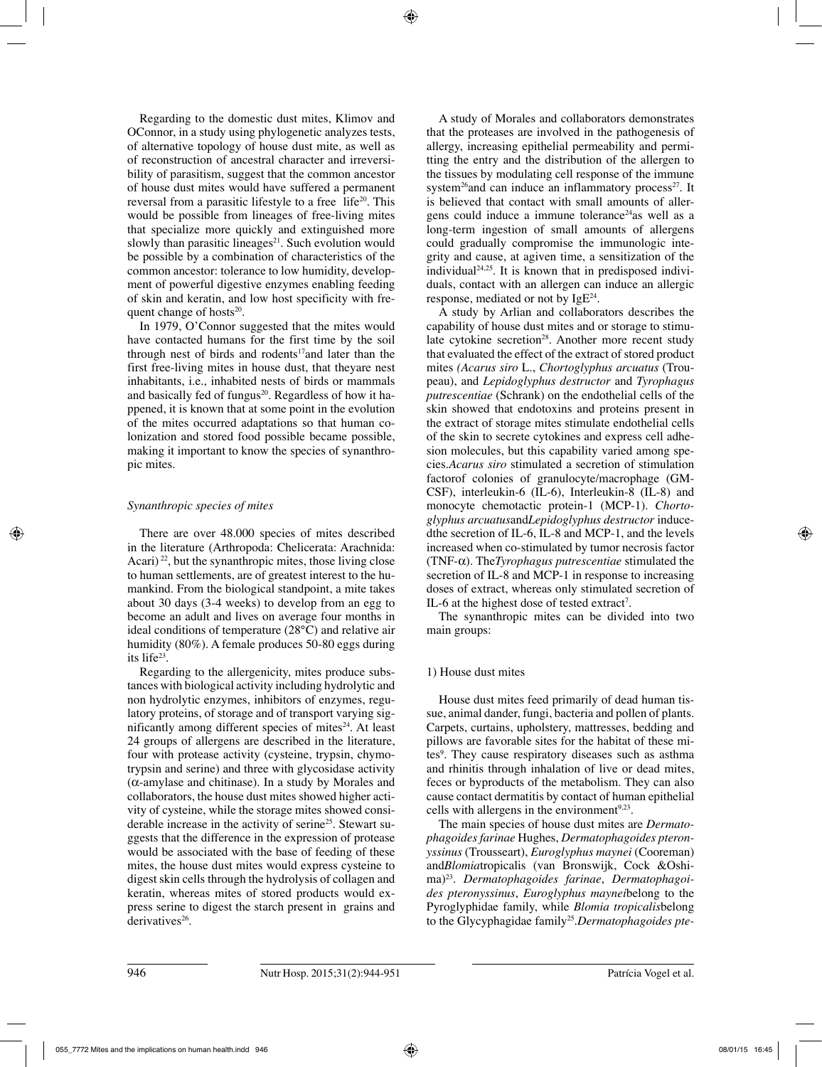Regarding to the domestic dust mites, Klimov and OConnor, in a study using phylogenetic analyzes tests, of alternative topology of house dust mite, as well as of reconstruction of ancestral character and irreversibility of parasitism, suggest that the common ancestor of house dust mites would have suffered a permanent reversal from a parasitic lifestyle to a free life<sup>20</sup>. This would be possible from lineages of free-living mites that specialize more quickly and extinguished more slowly than parasitic lineages $21$ . Such evolution would be possible by a combination of characteristics of the common ancestor: tolerance to low humidity, development of powerful digestive enzymes enabling feeding of skin and keratin, and low host specificity with frequent change of hosts $20$ .

In 1979, O'Connor suggested that the mites would have contacted humans for the first time by the soil through nest of birds and rodents<sup>17</sup>and later than the first free-living mites in house dust, that theyare nest inhabitants, i.e., inhabited nests of birds or mammals and basically fed of fungus $20$ . Regardless of how it happened, it is known that at some point in the evolution of the mites occurred adaptations so that human colonization and stored food possible became possible, making it important to know the species of synanthropic mites.

# *Synanthropic species of mites*

There are over 48.000 species of mites described in the literature (Arthropoda: Chelicerata: Arachnida: Acari) 22, but the synanthropic mites, those living close to human settlements, are of greatest interest to the humankind. From the biological standpoint, a mite takes about 30 days (3-4 weeks) to develop from an egg to become an adult and lives on average four months in ideal conditions of temperature (28°C) and relative air humidity (80%). A female produces 50-80 eggs during its life23.

Regarding to the allergenicity, mites produce substances with biological activity including hydrolytic and non hydrolytic enzymes, inhibitors of enzymes, regulatory proteins, of storage and of transport varying significantly among different species of mites $24$ . At least 24 groups of allergens are described in the literature, four with protease activity (cysteine, trypsin, chymotrypsin and serine) and three with glycosidase activity (α-amylase and chitinase). In a study by Morales and collaborators, the house dust mites showed higher activity of cysteine, while the storage mites showed considerable increase in the activity of serine<sup>25</sup>. Stewart suggests that the difference in the expression of protease would be associated with the base of feeding of these mites, the house dust mites would express cysteine to digest skin cells through the hydrolysis of collagen and keratin, whereas mites of stored products would express serine to digest the starch present in grains and derivatives<sup>26</sup>.

A study of Morales and collaborators demonstrates that the proteases are involved in the pathogenesis of allergy, increasing epithelial permeability and permitting the entry and the distribution of the allergen to the tissues by modulating cell response of the immune system<sup>26</sup>and can induce an inflammatory process<sup>27</sup>. It is believed that contact with small amounts of allergens could induce a immune tolerance24as well as a long-term ingestion of small amounts of allergens could gradually compromise the immunologic integrity and cause, at agiven time, a sensitization of the individual<sup>24,25</sup>. It is known that in predisposed individuals, contact with an allergen can induce an allergic response, mediated or not by  $IgE^{24}$ .

A study by Arlian and collaborators describes the capability of house dust mites and or storage to stimulate cytokine secretion<sup>28</sup>. Another more recent study that evaluated the effect of the extract of stored product mites *(Acarus siro* L., *Chortoglyphus arcuatus* (Troupeau), and *Lepidoglyphus destructor* and *Tyrophagus putrescentiae* (Schrank) on the endothelial cells of the skin showed that endotoxins and proteins present in the extract of storage mites stimulate endothelial cells of the skin to secrete cytokines and express cell adhesion molecules, but this capability varied among species.*Acarus siro* stimulated a secretion of stimulation factorof colonies of granulocyte/macrophage (GM-CSF), interleukin-6 (IL-6), Interleukin-8 (IL-8) and monocyte chemotactic protein-1 (MCP-1). *Chortoglyphus arcuatus*and*Lepidoglyphus destructor* inducedthe secretion of IL-6, IL-8 and MCP-1, and the levels increased when co-stimulated by tumor necrosis factor (TNF-α). The*Tyrophagus putrescentiae* stimulated the secretion of IL-8 and MCP-1 in response to increasing doses of extract, whereas only stimulated secretion of IL-6 at the highest dose of tested extract<sup>7</sup>.

The synanthropic mites can be divided into two main groups:

# 1) House dust mites

House dust mites feed primarily of dead human tissue, animal dander, fungi, bacteria and pollen of plants. Carpets, curtains, upholstery, mattresses, bedding and pillows are favorable sites for the habitat of these mites9 . They cause respiratory diseases such as asthma and rhinitis through inhalation of live or dead mites, feces or byproducts of the metabolism. They can also cause contact dermatitis by contact of human epithelial cells with allergens in the environment<sup> $9,23$ </sup>.

The main species of house dust mites are *Dermatophagoides farinae* Hughes, *Dermatophagoides pteronyssinus* (Trousseart), *Euroglyphus maynei* (Cooreman) and*Blomia*tropicalis (van Bronswijk, Cock &Oshima)23. *Dermatophagoides farinae*, *Dermatophagoides pteronyssinus*, *Euroglyphus maynei*belong to the Pyroglyphidae family, while *Blomia tropicalis*belong to the Glycyphagidae family<sup>25</sup>. Dermatophagoides pte-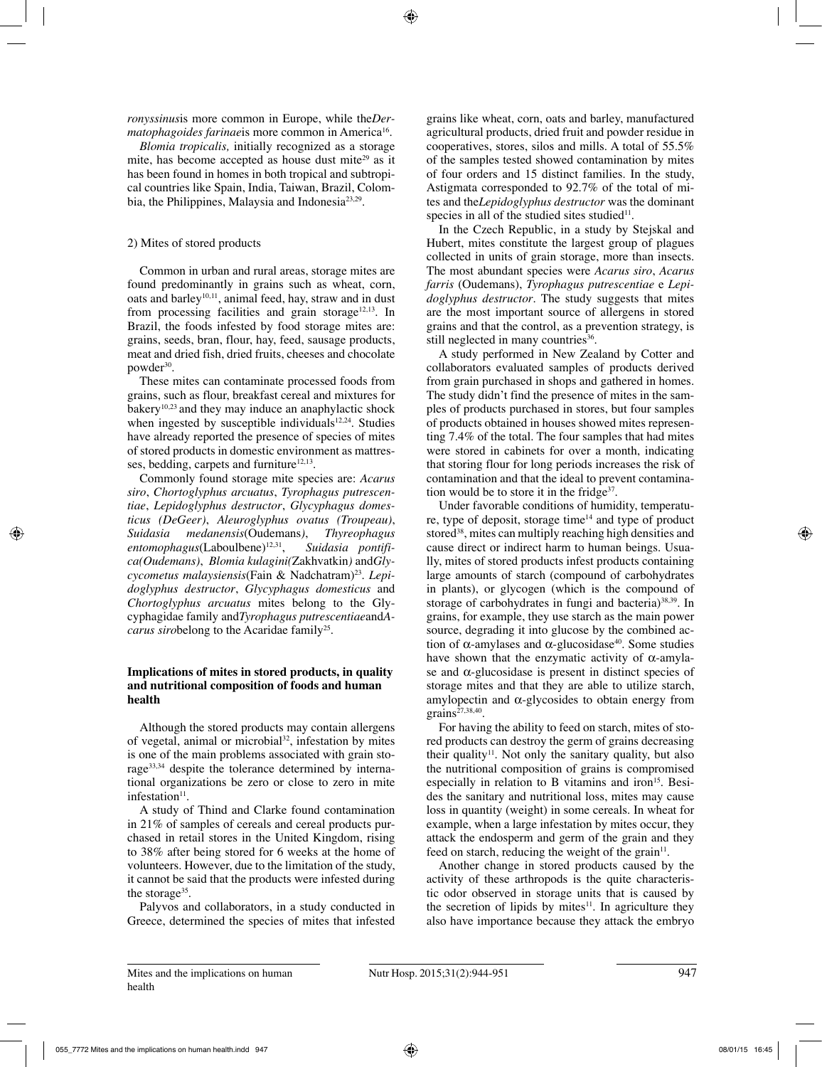*ronyssinus*is more common in Europe, while the*Dermatophagoides farinaeis* more common in America<sup>16</sup>.

*Blomia tropicalis,* initially recognized as a storage mite, has become accepted as house dust mite<sup>29</sup> as it has been found in homes in both tropical and subtropical countries like Spain, India, Taiwan, Brazil, Colombia, the Philippines, Malaysia and Indonesia<sup>23,29</sup>.

# 2) Mites of stored products

Common in urban and rural areas, storage mites are found predominantly in grains such as wheat, corn, oats and barley<sup>10,11</sup>, animal feed, hay, straw and in dust from processing facilities and grain storage<sup>12,13</sup>. In Brazil, the foods infested by food storage mites are: grains, seeds, bran, flour, hay, feed, sausage products, meat and dried fish, dried fruits, cheeses and chocolate powder<sup>30</sup>.

These mites can contaminate processed foods from grains, such as flour, breakfast cereal and mixtures for bakery<sup>10,23</sup> and they may induce an anaphylactic shock when ingested by susceptible individuals $12,24$ . Studies have already reported the presence of species of mites of stored products in domestic environment as mattresses, bedding, carpets and furniture $12,13$ .

Commonly found storage mite species are: *Acarus siro*, *Chortoglyphus arcuatus*, *Tyrophagus putrescentiae*, *Lepidoglyphus destructor*, *Glycyphagus domesticus (DeGeer)*, *Aleuroglyphus ovatus (Troupeau)*, *medanensis*(Oudemans), *entomophagus*(Laboulbene)12,31, *Suidasia pontifica(Oudemans)*, *Blomia kulagini(*Zakhvatkin*)* and*Glycycometus malaysiensis*(Fain & Nadchatram)<sup>23</sup>. *Lepidoglyphus destructor*, *Glycyphagus domesticus* and *Chortoglyphus arcuatus* mites belong to the Glycyphagidae family and*Tyrophagus putrescentiae*and*Acarus sirobelong to the Acaridae family*<sup>25</sup>.

### **Implications of mites in stored products, in quality and nutritional composition of foods and human health**

Although the stored products may contain allergens of vegetal, animal or microbial<sup>32</sup>, infestation by mites is one of the main problems associated with grain storage<sup>33,34</sup> despite the tolerance determined by international organizations be zero or close to zero in mite infestation<sup>11</sup>.

A study of Thind and Clarke found contamination in 21% of samples of cereals and cereal products purchased in retail stores in the United Kingdom, rising to 38% after being stored for 6 weeks at the home of volunteers. However, due to the limitation of the study, it cannot be said that the products were infested during the storage<sup>35</sup>.

Palyvos and collaborators, in a study conducted in Greece, determined the species of mites that infested grains like wheat, corn, oats and barley, manufactured agricultural products, dried fruit and powder residue in cooperatives, stores, silos and mills. A total of 55.5% of the samples tested showed contamination by mites of four orders and 15 distinct families. In the study, Astigmata corresponded to 92.7% of the total of mites and the*Lepidoglyphus destructor* was the dominant species in all of the studied sites studied $11$ .

In the Czech Republic, in a study by Stejskal and Hubert, mites constitute the largest group of plagues collected in units of grain storage, more than insects. The most abundant species were *Acarus siro*, *Acarus farris* (Oudemans), *Tyrophagus putrescentiae* e *Lepidoglyphus destructor*. The study suggests that mites are the most important source of allergens in stored grains and that the control, as a prevention strategy, is still neglected in many countries<sup>36</sup>.

A study performed in New Zealand by Cotter and collaborators evaluated samples of products derived from grain purchased in shops and gathered in homes. The study didn't find the presence of mites in the samples of products purchased in stores, but four samples of products obtained in houses showed mites representing 7.4% of the total. The four samples that had mites were stored in cabinets for over a month, indicating that storing flour for long periods increases the risk of contamination and that the ideal to prevent contamination would be to store it in the fridge $37$ .

Under favorable conditions of humidity, temperature, type of deposit, storage time $14$  and type of product stored<sup>38</sup>, mites can multiply reaching high densities and cause direct or indirect harm to human beings. Usually, mites of stored products infest products containing large amounts of starch (compound of carbohydrates in plants), or glycogen (which is the compound of storage of carbohydrates in fungi and bacteria) $38,39$ . In grains, for example, they use starch as the main power source, degrading it into glucose by the combined action of α-amylases and  $α$ -glucosidase<sup>40</sup>. Some studies have shown that the enzymatic activity of  $\alpha$ -amylase and  $\alpha$ -glucosidase is present in distinct species of storage mites and that they are able to utilize starch, amylopectin and  $\alpha$ -glycosides to obtain energy from  $grains^{27,38,40}$ .

For having the ability to feed on starch, mites of stored products can destroy the germ of grains decreasing their quality<sup>11</sup>. Not only the sanitary quality, but also the nutritional composition of grains is compromised especially in relation to B vitamins and iron<sup>15</sup>. Besides the sanitary and nutritional loss, mites may cause loss in quantity (weight) in some cereals. In wheat for example, when a large infestation by mites occur, they attack the endosperm and germ of the grain and they feed on starch, reducing the weight of the grain<sup>11</sup>.

Another change in stored products caused by the activity of these arthropods is the quite characteristic odor observed in storage units that is caused by the secretion of lipids by mites $11$ . In agriculture they also have importance because they attack the embryo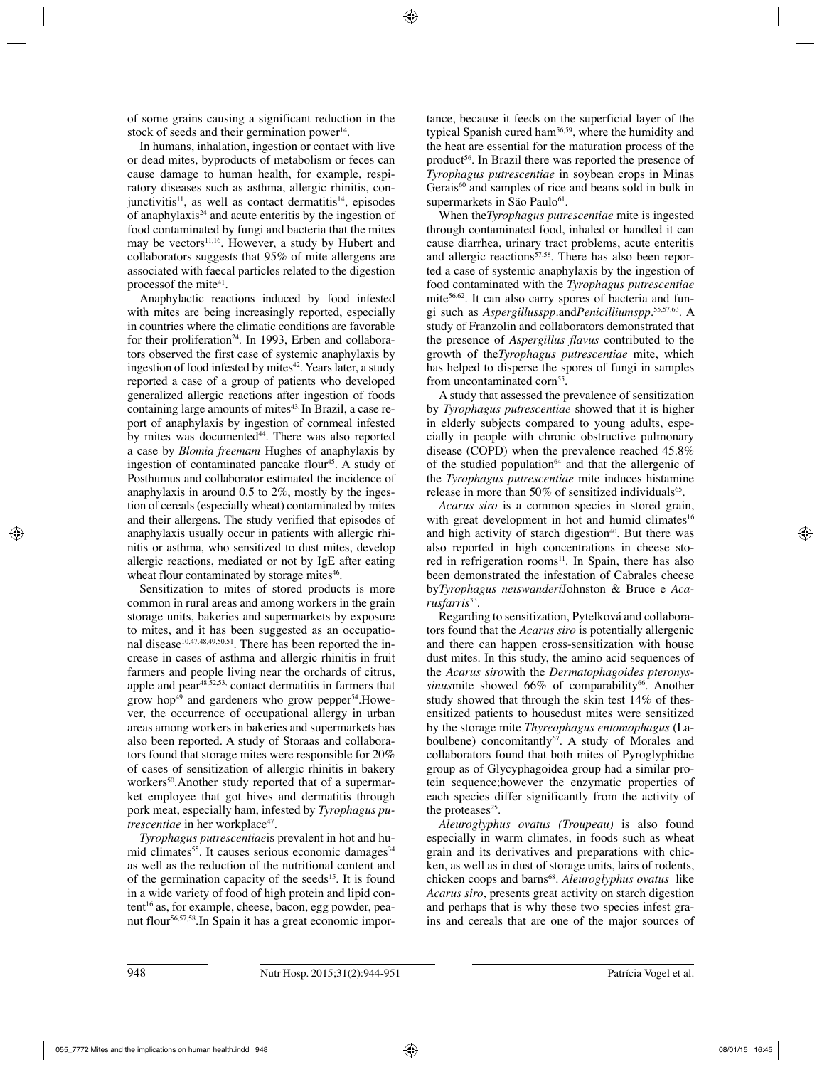of some grains causing a significant reduction in the stock of seeds and their germination power<sup>14</sup>.

In humans, inhalation, ingestion or contact with live or dead mites, byproducts of metabolism or feces can cause damage to human health, for example, respiratory diseases such as asthma, allergic rhinitis, con $j$ unctivitis<sup>11</sup>, as well as contact dermatitis<sup>14</sup>, episodes of anaphylaxis24 and acute enteritis by the ingestion of food contaminated by fungi and bacteria that the mites may be vectors<sup>11,16</sup>. However, a study by Hubert and collaborators suggests that 95% of mite allergens are associated with faecal particles related to the digestion processof the mite<sup>41</sup>.

Anaphylactic reactions induced by food infested with mites are being increasingly reported, especially in countries where the climatic conditions are favorable for their proliferation<sup>24</sup>. In 1993, Erben and collaborators observed the first case of systemic anaphylaxis by ingestion of food infested by mites $42$ . Years later, a study reported a case of a group of patients who developed generalized allergic reactions after ingestion of foods containing large amounts of mites<sup>43.</sup> In Brazil, a case report of anaphylaxis by ingestion of cornmeal infested by mites was documented<sup>44</sup>. There was also reported a case by *Blomia freemani* Hughes of anaphylaxis by ingestion of contaminated pancake flour<sup>45</sup>. A study of Posthumus and collaborator estimated the incidence of anaphylaxis in around 0.5 to 2%, mostly by the ingestion of cereals (especially wheat) contaminated by mites and their allergens. The study verified that episodes of anaphylaxis usually occur in patients with allergic rhinitis or asthma, who sensitized to dust mites, develop allergic reactions, mediated or not by IgE after eating wheat flour contaminated by storage mites<sup>46</sup>.

Sensitization to mites of stored products is more common in rural areas and among workers in the grain storage units, bakeries and supermarkets by exposure to mites, and it has been suggested as an occupational disease<sup>10,47,48,49,50,51</sup>. There has been reported the increase in cases of asthma and allergic rhinitis in fruit farmers and people living near the orchards of citrus, apple and pear48,52,53, contact dermatitis in farmers that grow hop<sup>49</sup> and gardeners who grow pepper<sup>54</sup>. However, the occurrence of occupational allergy in urban areas among workers in bakeries and supermarkets has also been reported. A study of Storaas and collaborators found that storage mites were responsible for 20% of cases of sensitization of allergic rhinitis in bakery workers<sup>50</sup>. Another study reported that of a supermarket employee that got hives and dermatitis through pork meat, especially ham, infested by *Tyrophagus putrescentiae* in her workplace<sup>47</sup>.

*Tyrophagus putrescentiae*is prevalent in hot and humid climates<sup>55</sup>. It causes serious economic damages<sup>34</sup> as well as the reduction of the nutritional content and of the germination capacity of the seeds<sup>15</sup>. It is found in a wide variety of food of high protein and lipid content<sup>16</sup> as, for example, cheese, bacon, egg powder, peanut flour56,57,58.In Spain it has a great economic importance, because it feeds on the superficial layer of the typical Spanish cured ham56,59, where the humidity and the heat are essential for the maturation process of the product<sup>56</sup>. In Brazil there was reported the presence of *Tyrophagus putrescentiae* in soybean crops in Minas Gerais<sup>60</sup> and samples of rice and beans sold in bulk in supermarkets in São Paulo<sup>61</sup>.

When the*Tyrophagus putrescentiae* mite is ingested through contaminated food, inhaled or handled it can cause diarrhea, urinary tract problems, acute enteritis and allergic reactions<sup>57,58</sup>. There has also been reported a case of systemic anaphylaxis by the ingestion of food contaminated with the *Tyrophagus putrescentiae*  mite56,62. It can also carry spores of bacteria and fungi such as *Aspergillusspp.*and*Penicilliumspp.*55,57,63. A study of Franzolin and collaborators demonstrated that the presence of *Aspergillus flavus* contributed to the growth of the*Tyrophagus putrescentiae* mite, which has helped to disperse the spores of fungi in samples from uncontaminated corn<sup>55</sup>.

A study that assessed the prevalence of sensitization by *Tyrophagus putrescentiae* showed that it is higher in elderly subjects compared to young adults, especially in people with chronic obstructive pulmonary disease (COPD) when the prevalence reached 45.8% of the studied population<sup> $64$ </sup> and that the allergenic of the *Tyrophagus putrescentiae* mite induces histamine release in more than  $50\%$  of sensitized individuals<sup>65</sup>.

*Acarus siro* is a common species in stored grain, with great development in hot and humid climates<sup>16</sup> and high activity of starch digestion $40$ . But there was also reported in high concentrations in cheese stored in refrigeration rooms<sup>11</sup>. In Spain, there has also been demonstrated the infestation of Cabrales cheese by*Tyrophagus neiswanderi*Johnston & Bruce e *Acarusfarris*<sup>33</sup>*.*

Regarding to sensitization, Pytelková and collaborators found that the *Acarus siro* is potentially allergenic and there can happen cross-sensitization with house dust mites. In this study, the amino acid sequences of the *Acarus siro*with the *Dermatophagoides pteronyssinusmite* showed 66% of comparability<sup>66</sup>. Another study showed that through the skin test 14% of thesensitized patients to housedust mites were sensitized by the storage mite *Thyreophagus entomophagus* (Laboulbene) concomitantly<sup>67</sup>. A study of Morales and collaborators found that both mites of Pyroglyphidae group as of Glycyphagoidea group had a similar protein sequence;however the enzymatic properties of each species differ significantly from the activity of the proteases $25$ .

*Aleuroglyphus ovatus (Troupeau)* is also found especially in warm climates, in foods such as wheat grain and its derivatives and preparations with chicken, as well as in dust of storage units, lairs of rodents, chicken coops and barns<sup>68</sup>. *Aleuroglyphus ovatus* like *Acarus siro*, presents great activity on starch digestion and perhaps that is why these two species infest grains and cereals that are one of the major sources of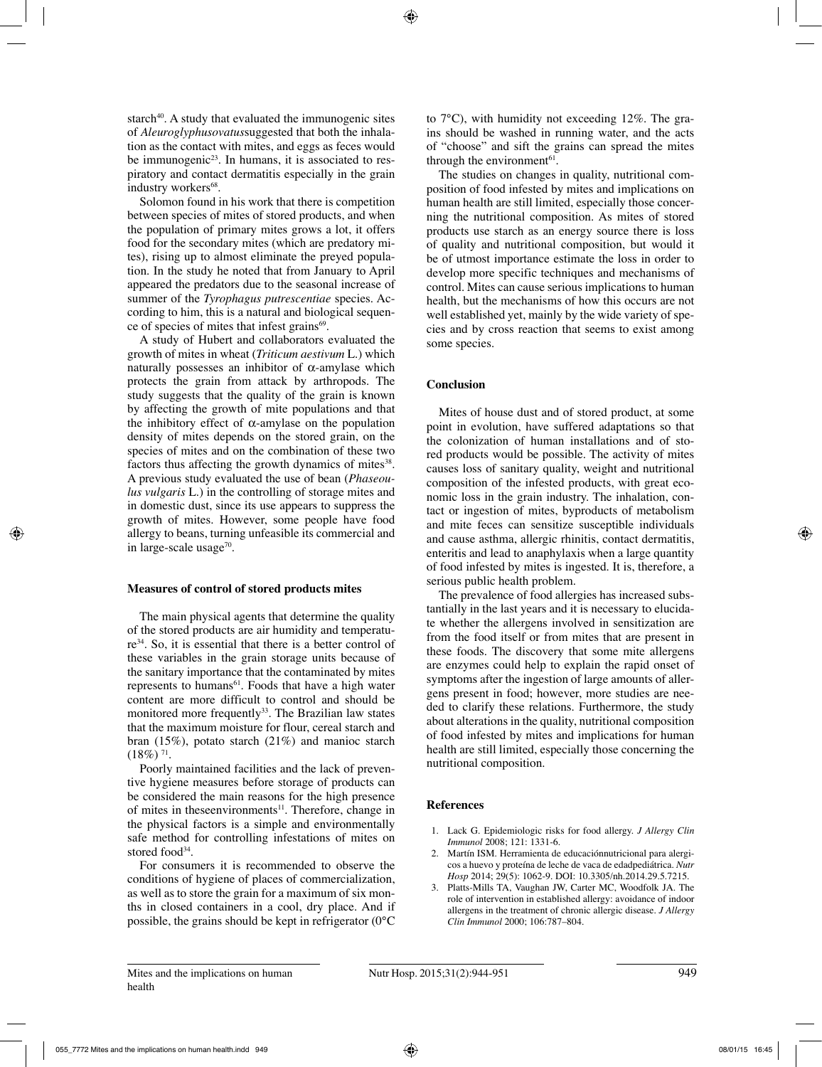starch $40$ . A study that evaluated the immunogenic sites of *Aleuroglyphusovatus*suggested that both the inhalation as the contact with mites, and eggs as feces would be immunogenic<sup>23</sup>. In humans, it is associated to respiratory and contact dermatitis especially in the grain industry workers<sup>68</sup>.

Solomon found in his work that there is competition between species of mites of stored products, and when the population of primary mites grows a lot, it offers food for the secondary mites (which are predatory mites), rising up to almost eliminate the preyed population. In the study he noted that from January to April appeared the predators due to the seasonal increase of summer of the *Tyrophagus putrescentiae* species. According to him, this is a natural and biological sequence of species of mites that infest grains<sup>69</sup>.

A study of Hubert and collaborators evaluated the growth of mites in wheat (*Triticum aestivum* L.) which naturally possesses an inhibitor of  $\alpha$ -amylase which protects the grain from attack by arthropods. The study suggests that the quality of the grain is known by affecting the growth of mite populations and that the inhibitory effect of  $\alpha$ -amylase on the population density of mites depends on the stored grain, on the species of mites and on the combination of these two factors thus affecting the growth dynamics of mites<sup>38</sup>. A previous study evaluated the use of bean (*Phaseoulus vulgaris* L.) in the controlling of storage mites and in domestic dust, since its use appears to suppress the growth of mites. However, some people have food allergy to beans, turning unfeasible its commercial and in large-scale usage<sup>70</sup>.

### **Measures of control of stored products mites**

The main physical agents that determine the quality of the stored products are air humidity and temperature34. So, it is essential that there is a better control of these variables in the grain storage units because of the sanitary importance that the contaminated by mites represents to humans<sup>61</sup>. Foods that have a high water content are more difficult to control and should be monitored more frequently<sup>33</sup>. The Brazilian law states that the maximum moisture for flour, cereal starch and bran (15%), potato starch (21%) and manioc starch  $(18\%)$ <sup>71</sup>.

Poorly maintained facilities and the lack of preventive hygiene measures before storage of products can be considered the main reasons for the high presence of mites in these environments<sup>11</sup>. Therefore, change in the physical factors is a simple and environmentally safe method for controlling infestations of mites on stored food<sup>34</sup>.

For consumers it is recommended to observe the conditions of hygiene of places of commercialization, as well as to store the grain for a maximum of six months in closed containers in a cool, dry place. And if possible, the grains should be kept in refrigerator (0°C to 7°C), with humidity not exceeding 12%. The grains should be washed in running water, and the acts of "choose" and sift the grains can spread the mites through the environment<sup>61</sup>.

The studies on changes in quality, nutritional composition of food infested by mites and implications on human health are still limited, especially those concerning the nutritional composition. As mites of stored products use starch as an energy source there is loss of quality and nutritional composition, but would it be of utmost importance estimate the loss in order to develop more specific techniques and mechanisms of control. Mites can cause serious implications to human health, but the mechanisms of how this occurs are not well established yet, mainly by the wide variety of species and by cross reaction that seems to exist among some species.

#### **Conclusion**

Mites of house dust and of stored product, at some point in evolution, have suffered adaptations so that the colonization of human installations and of stored products would be possible. The activity of mites causes loss of sanitary quality, weight and nutritional composition of the infested products, with great economic loss in the grain industry. The inhalation, contact or ingestion of mites, byproducts of metabolism and mite feces can sensitize susceptible individuals and cause asthma, allergic rhinitis, contact dermatitis, enteritis and lead to anaphylaxis when a large quantity of food infested by mites is ingested. It is, therefore, a serious public health problem.

The prevalence of food allergies has increased substantially in the last years and it is necessary to elucidate whether the allergens involved in sensitization are from the food itself or from mites that are present in these foods. The discovery that some mite allergens are enzymes could help to explain the rapid onset of symptoms after the ingestion of large amounts of allergens present in food; however, more studies are needed to clarify these relations. Furthermore, the study about alterations in the quality, nutritional composition of food infested by mites and implications for human health are still limited, especially those concerning the nutritional composition.

### **References**

- 1. Lack G. Epidemiologic risks for food allergy. *J Allergy Clin Immunol* 2008; 121: 1331-6.
- 2. Martín ISM. Herramienta de educaciónnutricional para alergicos a huevo y proteína de leche de vaca de edadpediátrica. *Nutr Hosp* 2014; 29(5): 1062-9. DOI: 10.3305/nh.2014.29.5.7215.
- 3. Platts-Mills TA, Vaughan JW, Carter MC, Woodfolk JA. The role of intervention in established allergy: avoidance of indoor allergens in the treatment of chronic allergic disease. *J Allergy Clin Immunol* 2000; 106:787–804.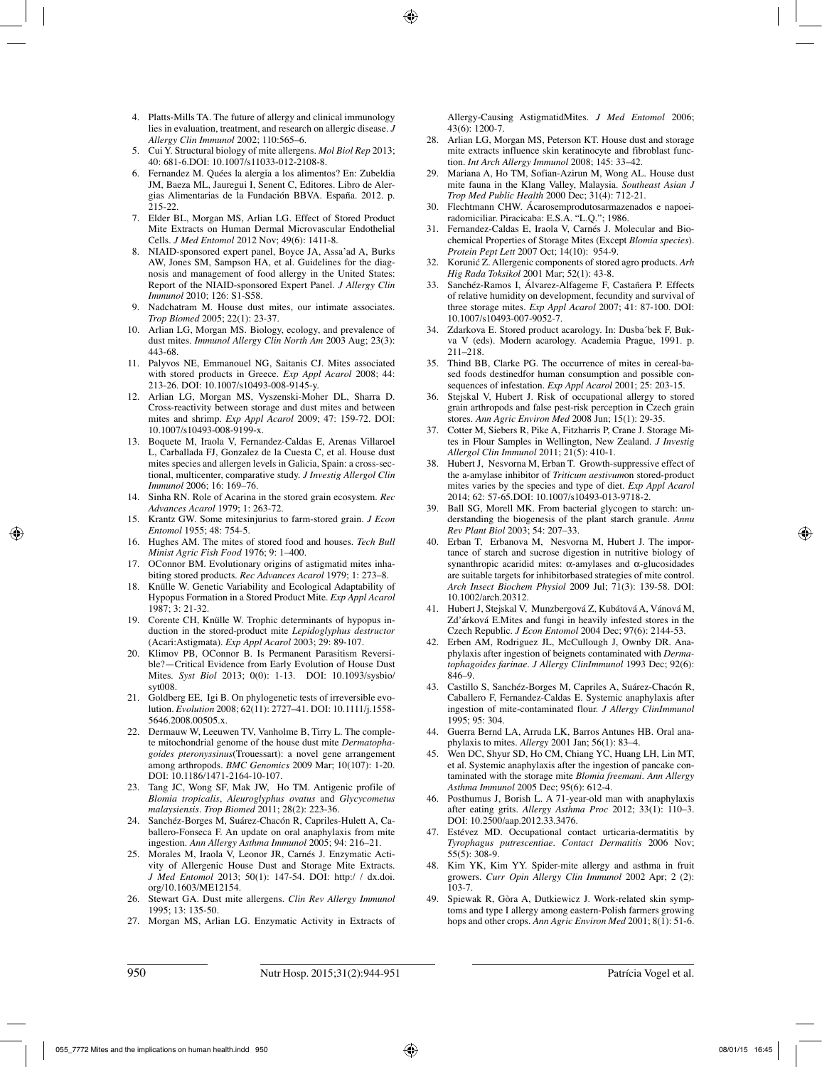- 4. Platts-Mills TA. The future of allergy and clinical immunology lies in evaluation, treatment, and research on allergic disease. *J Allergy Clin Immunol* 2002; 110:565–6.
- 5. Cui Y. Structural biology of mite allergens. *Mol Biol Rep* 2013; 40: 681-6.DOI: 10.1007/s11033-012-2108-8.
- 6. Fernandez M. Quées la alergia a los alimentos? En: Zubeldia JM, Baeza ML, Jauregui I, Senent C, Editores. Libro de Alergias Alimentarias de la Fundación BBVA. España. 2012. p. 215-22.
- 7. Elder BL, Morgan MS, Arlian LG. Effect of Stored Product Mite Extracts on Human Dermal Microvascular Endothelial Cells. *J Med Entomol* 2012 Nov; 49(6): 1411-8.
- 8. NIAID-sponsored expert panel, Boyce JA, Assa'ad A, Burks AW, Jones SM, Sampson HA, et al. Guidelines for the diagnosis and management of food allergy in the United States: Report of the NIAID-sponsored Expert Panel. *J Allergy Clin Immunol* 2010; 126: S1-S58.
- 9. Nadchatram M. House dust mites, our intimate associates. *Trop Biomed* 2005; 22(1): 23-37.
- 10. Arlian LG, Morgan MS. Biology, ecology, and prevalence of dust mites. *Immunol Allergy Clin North Am* 2003 Aug; 23(3): 443-68.
- 11. Palyvos NE, Emmanouel NG, Saitanis CJ. Mites associated with stored products in Greece. *Exp Appl Acarol* 2008; 44: 213-26. DOI: 10.1007/s10493-008-9145-y.
- 12. Arlian LG, Morgan MS, Vyszenski-Moher DL, Sharra D. Cross-reactivity between storage and dust mites and between mites and shrimp. *Exp Appl Acarol* 2009; 47: 159-72. DOI: 10.1007/s10493-008-9199-x.
- 13. Boquete M, Iraola V, Fernandez-Caldas E, Arenas Villaroel L, Carballada FJ, Gonzalez de la Cuesta C, et al. House dust mites species and allergen levels in Galicia, Spain: a cross-sectional, multicenter, comparative study. *J Investig Allergol Clin Immunol* 2006; 16: 169–76.
- 14. Sinha RN. Role of Acarina in the stored grain ecosystem. *Rec Advances Acarol* 1979; 1: 263-72.
- 15. Krantz GW. Some mitesinjurius to farm-stored grain. *J Econ Entomol* 1955; 48: 754-5.
- 16. Hughes AM. The mites of stored food and houses. *Tech Bull Minist Agric Fish Food* 1976; 9: 1–400.
- 17. OConnor BM. Evolutionary origins of astigmatid mites inhabiting stored products. *Rec Advances Acarol* 1979; 1: 273–8.
- 18. Knülle W. Genetic Variability and Ecological Adaptability of Hypopus Formation in a Stored Product Mite. *Exp Appl Acarol* 1987; 3: 21-32.
- 19. Corente CH, Knülle W. Trophic determinants of hypopus induction in the stored-product mite *Lepidoglyphus destructor*  (Acari:Astigmata). *Exp Appl Acarol* 2003; 29: 89-107.
- 20. Klimov PB, OConnor B. Is Permanent Parasitism Reversible?—Critical Evidence from Early Evolution of House Dust Mites. *Syst Biol* 2013; 0(0): 1-13. DOI: 10.1093/sysbio/ syt008.
- 21. Goldberg EE, Igi B. On phylogenetic tests of irreversible evolution. *Evolution* 2008; 62(11): 2727–41. DOI: 10.1111/j.1558- 5646.2008.00505.x.
- 22. Dermauw W, Leeuwen TV, Vanholme B, Tirry L. The complete mitochondrial genome of the house dust mite *Dermatophagoides pteronyssinus*(Trouessart): a novel gene arrangement among arthropods. *BMC Genomics* 2009 Mar; 10(107): 1-20. DOI: 10.1186/1471-2164-10-107.
- 23. Tang JC, Wong SF, Mak JW, Ho TM. Antigenic profile of *Blomia tropicalis*, *Aleuroglyphus ovatus* and *Glycycometus malaysiensis. Trop Biomed* 2011; 28(2): 223-36.
- 24. Sanchéz-Borges M, Suárez-Chacón R, Capriles-Hulett A, Caballero-Fonseca F. An update on oral anaphylaxis from mite ingestion. *Ann Allergy Asthma Immunol* 2005; 94: 216–21.
- 25. Morales M, Iraola V, Leonor JR, Carnés J. Enzymatic Activity of Allergenic House Dust and Storage Mite Extracts. *J Med Entomol* 2013; 50(1): 147-54. DOI: http:/ / dx.doi. org/10.1603/ME12154.
- 26. Stewart GA. Dust mite allergens. *Clin Rev Allergy Immunol* 1995; 13: 135-50.
- 27. Morgan MS, Arlian LG. Enzymatic Activity in Extracts of

Allergy-Causing AstigmatidMites. *J Med Entomol* 2006; 43(6): 1200-7.

- 28. Arlian LG, Morgan MS, Peterson KT. House dust and storage mite extracts influence skin keratinocyte and fibroblast function. *Int Arch Allergy Immunol* 2008; 145: 33–42.
- 29. Mariana A, Ho TM, Sofian-Azirun M, Wong AL. House dust mite fauna in the Klang Valley, Malaysia. *Southeast Asian J Trop Med Public Health* 2000 Dec; 31(4): 712-21.
- 30. Flechtmann CHW. Ácarosemprodutosarmazenados e napoeiradomiciliar. Piracicaba: E.S.A. "L.Q."; 1986.
- 31. Fernandez-Caldas E, Iraola V, Carnés J. Molecular and Biochemical Properties of Storage Mites (Except *Blomia species*). *Protein Pept Lett* 2007 Oct; 14(10): 954-9.
- 32. Korunić Z. Allergenic components of stored agro products. *Arh Hig Rada Toksikol* 2001 Mar; 52(1): 43-8.
- 33. Sanchéz-Ramos I, Álvarez-Alfageme F, Castañera P. Effects of relative humidity on development, fecundity and survival of three storage mites. *Exp Appl Acarol* 2007; 41: 87-100. DOI: 10.1007/s10493-007-9052-7.
- 34. Zdarkova E. Stored product acarology. In: Dusba´bek F, Bukva V (eds). Modern acarology. Academia Prague, 1991. p. 211–218.
- 35. Thind BB, Clarke PG. The occurrence of mites in cereal-based foods destinedfor human consumption and possible consequences of infestation. *Exp Appl Acarol* 2001; 25: 203-15.
- 36. Stejskal V, Hubert J. Risk of occupational allergy to stored grain arthropods and false pest-risk perception in Czech grain stores. *Ann Agric Environ Med* 2008 Jun; 15(1): 29-35.
- 37. Cotter M, Siebers R, Pike A, Fitzharris P, Crane J. Storage Mites in Flour Samples in Wellington, New Zealand. *J Investig Allergol Clin Immunol* 2011; 21(5): 410-1.
- 38. Hubert J, Nesvorna M, Erban T. Growth-suppressive effect of the a-amylase inhibitor of *Triticum aestivum*on stored-product mites varies by the species and type of diet. *Exp Appl Acarol* 2014; 62: 57-65.DOI: 10.1007/s10493-013-9718-2.
- 39. Ball SG, Morell MK. From bacterial glycogen to starch: understanding the biogenesis of the plant starch granule. *Annu Rev Plant Biol* 2003; 54: 207–33.
- 40. Erban T, Erbanova M, Nesvorna M, Hubert J. The importance of starch and sucrose digestion in nutritive biology of synanthropic acaridid mites: α-amylases and α-glucosidades are suitable targets for inhibitorbased strategies of mite control. *Arch Insect Biochem Physiol* 2009 Jul; 71(3): 139-58. DOI: 10.1002/arch.20312.
- 41. Hubert J, Stejskal V, Munzbergová Z, Kubátová A, Vánová M, Zd'árková E.Mites and fungi in heavily infested stores in the Czech Republic. *J Econ Entomol* 2004 Dec; 97(6): 2144-53.
- Erben AM, Rodriguez JL, McCullough J, Ownby DR. Anaphylaxis after ingestion of beignets contaminated with *Dermatophagoides farinae. J Allergy ClinImmunol* 1993 Dec; 92(6): 846–9.
- 43. Castillo S, Sanchéz-Borges M, Capriles A, Suárez-Chacón R, Caballero F, Fernandez-Caldas E. Systemic anaphylaxis after ingestion of mite-contaminated flour. *J Allergy ClinImmunol* 1995; 95: 304.
- 44. Guerra Bernd LA, Arruda LK, Barros Antunes HB. Oral anaphylaxis to mites. *Allergy* 2001 Jan; 56(1): 83–4.
- Wen DC, Shyur SD, Ho CM, Chiang YC, Huang LH, Lin MT, et al. Systemic anaphylaxis after the ingestion of pancake contaminated with the storage mite *Blomia freemani*. *Ann Allergy Asthma Immunol* 2005 Dec; 95(6): 612-4.
- 46. Posthumus J, Borish L. A 71-year-old man with anaphylaxis after eating grits. *Allergy Asthma Proc* 2012; 33(1): 110–3. DOI: 10.2500/aap.2012.33.3476.
- Estévez MD. Occupational contact urticaria-dermatitis by *Tyrophagus putrescentiae*. *Contact Dermatitis* 2006 Nov; 55(5): 308-9.
- 48. Kim YK, Kim YY. Spider-mite allergy and asthma in fruit growers. *Curr Opin Allergy Clin Immunol* 2002 Apr; 2 (2): 103-7.
- 49. Spiewak R, Gòra A, Dutkiewicz J. Work-related skin symptoms and type I allergy among eastern-Polish farmers growing hops and other crops. *Ann Agric Environ Med* 2001; 8(1): 51-6.